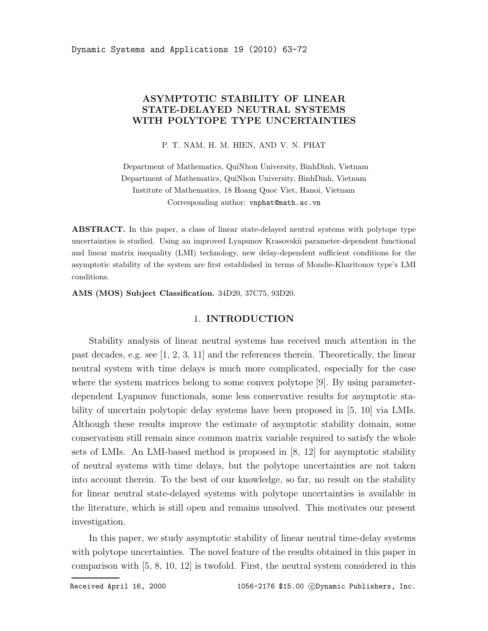# ASYMPTOTIC STABILITY OF LINEAR STATE-DELAYED NEUTRAL SYSTEMS WITH POLYTOPE TYPE UNCERTAINTIES

P. T. NAM, H. M. HIEN, AND V. N. PHAT

Department of Mathematics, QuiNhon University, BinhDinh, Vietnam Department of Mathematics, QuiNhon University, BinhDinh, Vietnam Institute of Mathematics, 18 Hoang Quoc Viet, Hanoi, Vietnam Corresponding author: vnphat@math.ac.vn

ABSTRACT. In this paper, a class of linear state-delayed neutral systems with polytope type uncertainties is studied. Using an improved Lyapunov Krasovskii parameter-dependent functional and linear matrix inequality (LMI) technology, new delay-dependent sufficient conditions for the asymptotic stability of the system are first established in terms of Mondie-Kharitonov type's LMI conditions.

AMS (MOS) Subject Classification. 34D20, 37C75, 93D20.

#### 1. INTRODUCTION

Stability analysis of linear neutral systems has received much attention in the past decades, e.g. see [1, 2, 3, 11] and the references therein. Theoretically, the linear neutral system with time delays is much more complicated, especially for the case where the system matrices belong to some convex polytope [9]. By using parameterdependent Lyapunov functionals, some less conservative results for asymptotic stability of uncertain polytopic delay systems have been proposed in [5, 10] via LMIs. Although these results improve the estimate of asymptotic stability domain, some conservatism still remain since common matrix variable required to satisfy the whole sets of LMIs. An LMI-based method is proposed in [8, 12] for asymptotic stability of neutral systems with time delays, but the polytope uncertainties are not taken into account therein. To the best of our knowledge, so far, no result on the stability for linear neutral state-delayed systems with polytope uncertainties is available in the literature, which is still open and remains unsolved. This motivates our present investigation.

In this paper, we study asymptotic stability of linear neutral time-delay systems with polytope uncertainties. The novel feature of the results obtained in this paper in comparison with [5, 8, 10, 12] is twofold. First, the neutral system considered in this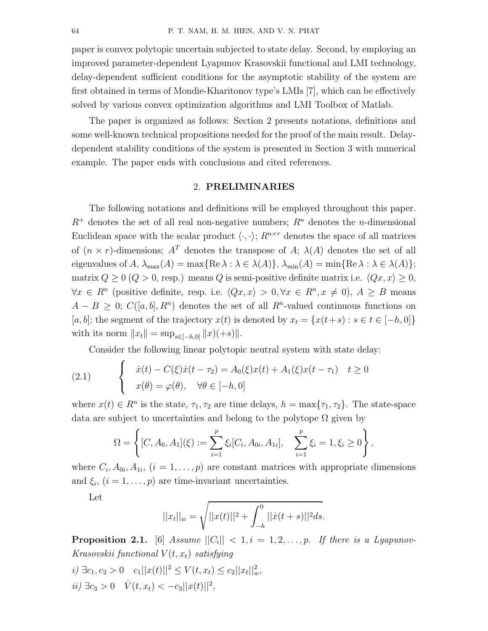paper is convex polytopic uncertain subjected to state delay. Second, by employing an improved parameter-dependent Lyapunov Krasovskii functional and LMI technology, delay-dependent sufficient conditions for the asymptotic stability of the system are first obtained in terms of Mondie-Kharitonov type's LMIs [7], which can be effectively solved by various convex optimization algorithms and LMI Toolbox of Matlab.

The paper is organized as follows: Section 2 presents notations, definitions and some well-known technical propositions needed for the proof of the main result. Delaydependent stability conditions of the system is presented in Section 3 with numerical example. The paper ends with conclusions and cited references.

## 2. PRELIMINARIES

The following notations and definitions will be employed throughout this paper.  $R^+$  denotes the set of all real non-negative numbers;  $R^n$  denotes the *n*-dimensional Euclidean space with the scalar product  $\langle \cdot, \cdot \rangle$ ;  $R^{n \times r}$  denotes the space of all matrices of  $(n \times r)$ -dimensions;  $A<sup>T</sup>$  denotes the transpose of A;  $\lambda(A)$  denotes the set of all eigenvalues of A,  $\lambda_{\max}(A) = \max\{ \text{Re }\lambda : \lambda \in \lambda(A) \}, \lambda_{\min}(A) = \min\{ \text{Re }\lambda : \lambda \in \lambda(A) \};$ matrix  $Q \ge 0$   $(Q > 0$ , resp.) means Q is semi-positive definite matrix i.e.  $\langle Qx, x \rangle \ge 0$ ,  $\forall x \in R^n$  (positive definite, resp. i.e.  $\langle Qx, x \rangle > 0, \forall x \in R^n, x \neq 0$ ),  $A \geq B$  means  $A - B \geq 0$ ;  $C([a, b], R<sup>n</sup>)$  denotes the set of all  $R<sup>n</sup>$ -valued continuous functions on [a, b]; the segment of the trajectory  $x(t)$  is denoted by  $x_t = \{x(t+s) : s \in t \in [-h, 0]\}$ with its norm  $||x_t|| = \sup_{s \in [-h,0]} ||x)(+s)||.$ 

Consider the following linear polytopic neutral system with state delay:

(2.1) 
$$
\begin{cases} \dot{x}(t) - C(\xi)\dot{x}(t-\tau_2) = A_0(\xi)x(t) + A_1(\xi)x(t-\tau_1) & t \ge 0 \\ x(\theta) = \varphi(\theta), \quad \forall \theta \in [-h,0] \end{cases}
$$

where  $x(t) \in R^n$  is the state,  $\tau_1, \tau_2$  are time delays,  $h = \max{\tau_1, \tau_2}$ . The state-space data are subject to uncertainties and belong to the polytope  $\Omega$  given by

$$
\Omega = \left\{ [C, A_0, A_1](\xi) := \sum_{i=1}^p \xi_i [C_i, A_{0i}, A_{1i}], \quad \sum_{i=1}^p \xi_i = 1, \xi_i \ge 0 \right\},\,
$$

where  $C_i$ ,  $A_{0i}$ ,  $A_{1i}$ ,  $(i = 1, \ldots, p)$  are constant matrices with appropriate dimensions and  $\xi_i$ ,  $(i = 1, \ldots, p)$  are time-invariant uncertainties.

Let

$$
||x_t||_w = \sqrt{||x(t)||^2 + \int_{-h}^0 ||\dot{x}(t+s)||^2 ds}.
$$

**Proposition 2.1.** [6] Assume  $||C_i|| < 1, i = 1, 2, \ldots, p$ . If there is a Lyapunov-Krasovskii functional  $V(t, x_t)$  satisfying

- *i*) ∃c<sub>1</sub>, c<sub>2</sub> > 0 c<sub>1</sub>||x(t)||<sup>2</sup> ≤ V(t, x<sub>t</sub>) ≤ c<sub>2</sub>||x<sub>t</sub>||<sup>2</sup><sub>*w*</sub>,
- $ii) \exists c_3 > 0 \quad \dot{V}(t, x_t) < -c_3 ||x(t)||^2,$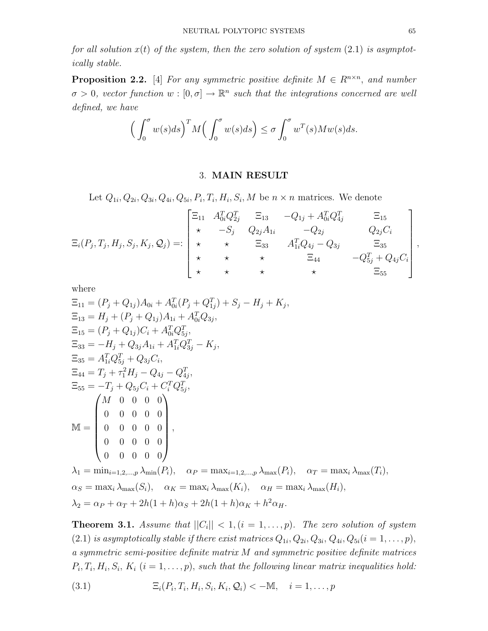for all solution  $x(t)$  of the system, then the zero solution of system  $(2.1)$  is asymptotically stable.

**Proposition 2.2.** [4] For any symmetric positive definite  $M \in R^{n \times n}$ , and number  $\sigma > 0$ , vector function  $w : [0, \sigma] \to \mathbb{R}^n$  such that the integrations concerned are well defined, we have

$$
\left(\int_0^{\sigma} w(s)ds\right)^T M\left(\int_0^{\sigma} w(s)ds\right) \leq \sigma \int_0^{\sigma} w^T(s)M w(s)ds.
$$

## 3. MAIN RESULT

Let  $Q_{1i}, Q_{2i}, Q_{3i}, Q_{4i}, Q_{5i}, P_i, T_i, H_i, S_i, M$  be  $n \times n$  matrices. We denote

$$
\Xi_i(P_j, T_j, H_j, S_j, K_j, Q_j) =: \begin{bmatrix}\n\Xi_{11} & A_{0i}^T Q_{2j}^T & \Xi_{13} & -Q_{1j} + A_{0i}^T Q_{4j}^T & \Xi_{15} \\
\star & -S_j & Q_{2j} A_{1i} & -Q_{2j} & Q_{2j} C_i \\
\star & \star & \Xi_{33} & A_{1i}^T Q_{4j} - Q_{3j} & \Xi_{35} \\
\star & \star & \star & \Xi_{44} & -Q_{5j}^T + Q_{4j} C_i \\
\star & \star & \star & \star & \Xi_{55}\n\end{bmatrix},
$$

where

$$
\Xi_{11} = (P_j + Q_{1j})A_{0i} + A_{0i}^T (P_j + Q_{1j}^T) + S_j - H_j + K_j,
$$
  
\n
$$
\Xi_{13} = H_j + (P_j + Q_{1j})A_{1i} + A_{0i}^T Q_{3j},
$$
  
\n
$$
\Xi_{15} = (P_j + Q_{1j})C_i + A_{0i}^T Q_{2j}^T,
$$
  
\n
$$
\Xi_{33} = -H_j + Q_{3j}A_{1i} + A_{1i}^T Q_{3j}^T - K_j,
$$
  
\n
$$
\Xi_{35} = A_{1i}^T Q_{5j}^T + Q_{3j}C_i,
$$
  
\n
$$
\Xi_{44} = T_j + \tau_1^2 H_j - Q_{4j} - Q_{4j}^T,
$$
  
\n
$$
\Xi_{55} = -T_j + Q_{5j}C_i + C_i^T Q_{5j}^T,
$$
  
\n
$$
\mathbb{M} = \begin{pmatrix} M & 0 & 0 & 0 & 0 \\ 0 & 0 & 0 & 0 & 0 \\ 0 & 0 & 0 & 0 & 0 \\ 0 & 0 & 0 & 0 & 0 \\ 0 & 0 & 0 & 0 & 0 \\ 0 & 0 & 0 & 0 & 0 \\ 0 & 0 & 0 & 0 & 0 \end{pmatrix},
$$
  
\n
$$
\lambda_1 = \min_{i=1,2,...,p} \lambda_{\min}(P_i), \quad \alpha_P = \max_{i=1,2,...,p} \lambda_{\max}(P_i), \quad \alpha_T = \max_i \lambda_{\max}(T_i),
$$
  
\n
$$
\alpha_S = \max_i \lambda_{\max}(S_i), \quad \alpha_K = \max_i \lambda_{\max}(K_i), \quad \alpha_H = \max_i \lambda_{\max}(H_i),
$$

**Theorem 3.1.** Assume that  $||C_i|| < 1$ ,  $(i = 1, \ldots, p)$ . The zero solution of system  $(2.1)$  is asymptotically stable if there exist matrices  $Q_{1i}, Q_{2i}, Q_{3i}, Q_{4i}, Q_{5i}$   $(i = 1, \ldots, p)$ , a symmetric semi-positive definite matrix M and symmetric positive definite matrices  $P_i, T_i, H_i, S_i, K_i$   $(i = 1, \ldots, p)$ , such that the following linear matrix inequalities hold:

(3.1) 
$$
\Xi_i(P_i, T_i, H_i, S_i, K_i, Q_i) < -M, \quad i = 1, ..., p
$$

 $\lambda_2 = \alpha_P + \alpha_T + 2h(1+h)\alpha_S + 2h(1+h)\alpha_K + h^2\alpha_H.$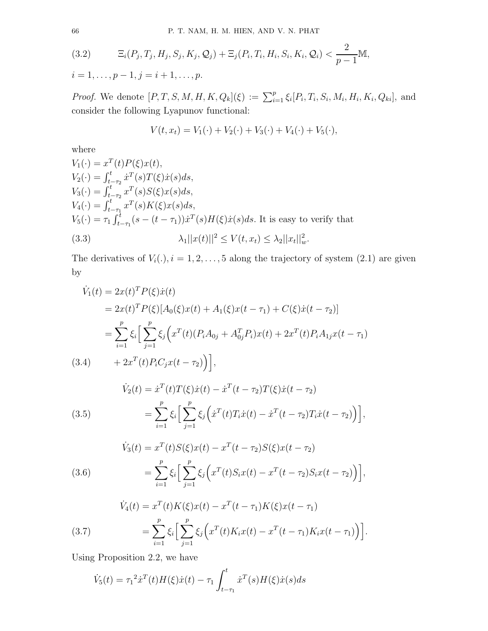(3.2) 
$$
\Xi_i(P_j, T_j, H_j, S_j, K_j, Q_j) + \Xi_j(P_i, T_i, H_i, S_i, K_i, Q_i) < \frac{2}{p-1} \mathbb{M},
$$
  
 $i = 1, ..., p-1, j = i+1, ..., p.$ 

*Proof.* We denote  $[P, T, S, M, H, K, Q_k](\xi) := \sum_{i=1}^p \xi_i [P_i, T_i, S_i, M_i, H_i, K_i, Q_{ki}],$  and consider the following Lyapunov functional:

$$
V(t, x_t) = V_1(\cdot) + V_2(\cdot) + V_3(\cdot) + V_4(\cdot) + V_5(\cdot),
$$

where

$$
V_1(\cdot) = x^T(t)P(\xi)x(t),
$$
  
\n
$$
V_2(\cdot) = \int_{t-\tau_2}^t \dot{x}^T(s)T(\xi)\dot{x}(s)ds,
$$
  
\n
$$
V_3(\cdot) = \int_{t-\tau_1}^t x^T(s)S(\xi)x(s)ds,
$$
  
\n
$$
V_4(\cdot) = \int_{t-\tau_1}^t x^T(s)K(\xi)x(s)ds,
$$
  
\n
$$
V_5(\cdot) = \tau_1 \int_{t-\tau_1}^t (s - (t-\tau_1))\dot{x}^T(s)H(\xi)\dot{x}(s)ds.
$$
 It is easy to verify that  
\n(3.3) 
$$
\lambda_1 ||x(t)||^2 \le V(t, x_t) \le \lambda_2 ||x_t||_w^2.
$$

The derivatives of  $V_i(.)$ ,  $i = 1, 2, ..., 5$  along the trajectory of system  $(2.1)$  are given by

$$
\dot{V}_1(t) = 2x(t)^T P(\xi)\dot{x}(t)
$$
\n
$$
= 2x(t)^T P(\xi)[A_0(\xi)x(t) + A_1(\xi)x(t - \tau_1) + C(\xi)\dot{x}(t - \tau_2)]
$$
\n
$$
= \sum_{i=1}^p \xi_i \Big[\sum_{j=1}^p \xi_j \Big(x^T(t)(P_i A_{0j} + A_{0j}^T P_i)x(t) + 2x^T(t)P_i A_{1j}x(t - \tau_1)\Big)
$$
\n(3.4) + 2x^T(t)P\_i C\_jx(t - \tau\_2)\Big],

(3.5)  

$$
\dot{V}_2(t) = \dot{x}^T(t)T(\xi)\dot{x}(t) - \dot{x}^T(t-\tau_2)T(\xi)\dot{x}(t-\tau_2)
$$

$$
= \sum_{i=1}^p \xi_i \left[ \sum_{j=1}^p \xi_j \left( \dot{x}^T(t)T_i\dot{x}(t) - \dot{x}^T(t-\tau_2)T_i\dot{x}(t-\tau_2) \right) \right],
$$

(3.6)  
\n
$$
\dot{V}_3(t) = x^T(t)S(\xi)x(t) - x^T(t - \tau_2)S(\xi)x(t - \tau_2)
$$
\n
$$
= \sum_{i=1}^p \xi_i \left[ \sum_{j=1}^p \xi_j \left( x^T(t)S_i x(t) - x^T(t - \tau_2)S_i x(t - \tau_2) \right) \right],
$$

(3.7) 
$$
\dot{V}_4(t) = x^T(t)K(\xi)x(t) - x^T(t-\tau_1)K(\xi)x(t-\tau_1) \n= \sum_{i=1}^p \xi_i \left[ \sum_{j=1}^p \xi_j \left( x^T(t)K_ix(t) - x^T(t-\tau_1)K_ix(t-\tau_1) \right) \right].
$$

Using Proposition 2.2, we have

$$
\dot{V}_5(t) = \tau_1^2 \dot{x}^T(t) H(\xi) \dot{x}(t) - \tau_1 \int_{t-\tau_1}^t \dot{x}^T(s) H(\xi) \dot{x}(s) ds
$$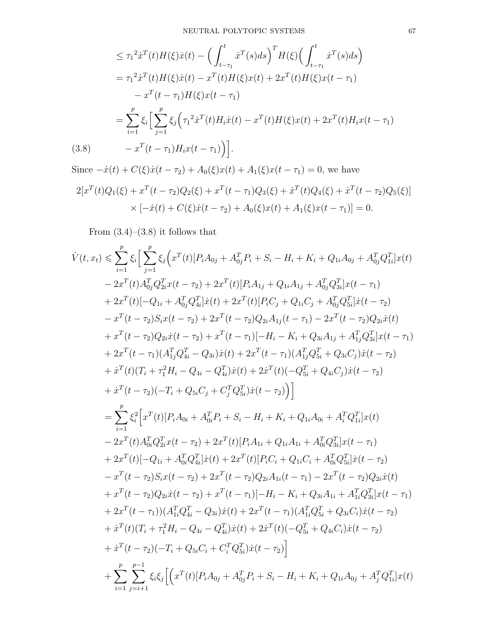$$
\leq \tau_1^2 \dot{x}^T(t)H(\xi)\dot{x}(t) - \left(\int_{t-\tau_1}^t \dot{x}^T(s)ds\right)^T H(\xi)\left(\int_{t-\tau_1}^t \dot{x}^T(s)ds\right)
$$
  
\n
$$
= \tau_1^2 \dot{x}^T(t)H(\xi)\dot{x}(t) - x^T(t)H(\xi)x(t) + 2x^T(t)H(\xi)x(t-\tau_1)
$$
  
\n
$$
-x^T(t-\tau_1)H(\xi)x(t-\tau_1)
$$
  
\n
$$
= \sum_{i=1}^p \xi_i \left[\sum_{j=1}^p \xi_j \left(\tau_1^2 \dot{x}^T(t)H_i\dot{x}(t) - x^T(t)H(\xi)x(t) + 2x^T(t)H_i x(t-\tau_1)\right) - x^T(t-\tau_1)H_i x(t-\tau_1)\right].
$$
  
\n(3.8)

Since  $-\dot{x}(t) + C(\xi)\dot{x}(t - \tau_2) + A_0(\xi)x(t) + A_1(\xi)x(t - \tau_1) = 0$ , we have

$$
2[x^{T}(t)Q_{1}(\xi) + x^{T}(t-\tau_{2})Q_{2}(\xi) + x^{T}(t-\tau_{1})Q_{3}(\xi) + x^{T}(t)Q_{4}(\xi) + x^{T}(t-\tau_{2})Q_{5}(\xi)]
$$
  
 
$$
\times [-\dot{x}(t) + C(\xi)\dot{x}(t-\tau_{2}) + A_{0}(\xi)x(t) + A_{1}(\xi)x(t-\tau_{1})] = 0.
$$

From  $(3.4)$ – $(3.8)$  it follows that

$$
\dot{V}(t,x_t) \leq \sum_{i=1}^{p} \xi_i \left[ \sum_{j=1}^{p} \xi_j \left( x^T(t)[P_i A_{0j} + A_{0j}^T P_i + S_i - H_i + K_i + Q_{1i} A_{0j} + A_{0j}^T Q_{1i}^T] x(t) \right. \\ \left. - 2x^T(t) A_{0j}^T Q_{2i}^T x(t-\tau_2) + 2x^T(t)[P_i A_{1j} + Q_{1i} A_{1j} + A_{0j}^T Q_{3i}^T] x(t-\tau_1) \right. \\ \left. + 2x^T(t)[-Q_{1i} + A_{0j}^T Q_{4i}^T] x(t) + 2x^T(t)[P_i C_j + Q_{1i} C_j + A_{0j}^T Q_{3i}^T] x(t-\tau_2) \right. \\ \left. - x^T(t-\tau_2) S_i x(t-\tau_2) + 2x^T(t-\tau_2) Q_{2i} A_{1j}(t-\tau_1) - 2x^T(t-\tau_2) Q_{2i} \dot{x}(t) \right. \\ \left. + x^T(t-\tau_2) Q_{2i} \dot{x}(t-\tau_2) + x^T(t-\tau_1)[-H_i - K_i + Q_{3i} A_{1j} + A_{1j}^T Q_{3i}^T] x(t-\tau_1) \right. \\ \left. + 2x^T(t-\tau_1) (A_{1j}^T Q_{4i}^T - Q_{3i}) \dot{x}(t) + 2x^T(t-\tau_1) (A_{1j}^T Q_{4i}^T + Q_{3i} C_j) \dot{x}(t-\tau_2) \right. \\ \left. + \dot{x}^T(t)[T_i + \tau_1^2 H_i - Q_{4i} - Q_{4i}^T) \dot{x}(t) + 2\dot{x}^T(t)(-Q_{5i}^T + Q_{4i} C_j) \dot{x}(t-\tau_2) \right. \\ \left. + \dot{x}^T(t-\tau_2)(-T_i + Q_{5i} C_j + C_j^T Q_{5i}^T) \dot{x}(t-\tau_2) \right) \right] \\ = \sum_{i=1}^{p} \xi_i^2 \left[ x^T(t)[P_i A_{0i} + A_{0i}^T P_i + S_i - H_i + K_i + Q_{1i} A_{0i} + A_i^T Q_{1i}^T] x(t) \right. \\ \left. - 2x^T
$$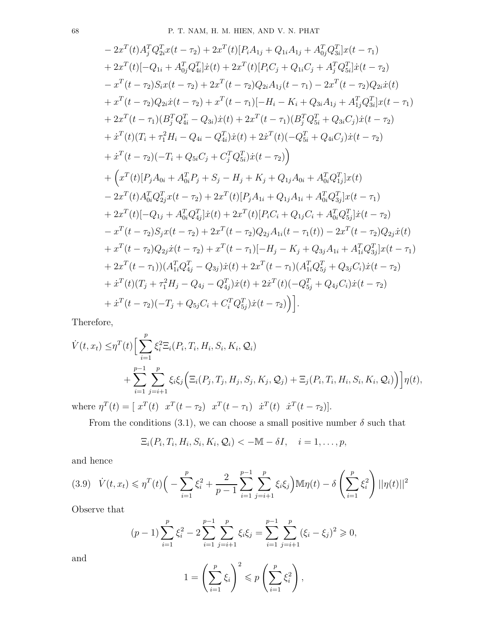$$
-2x^{T}(t)A_{j}^{T}Q_{2i}^{T}x(t-\tau_{2})+2x^{T}(t)[P_{i}A_{1j}+Q_{1i}A_{1j}+A_{0j}^{T}Q_{3i}^{T}]x(t-\tau_{1})+2x^{T}(t)[-Q_{1i}+A_{0j}^{T}Q_{4i}^{T}]x(t)+2x^{T}(t)[P_{i}C_{j}+Q_{1i}C_{j}+A_{j}^{T}Q_{5i}^{T}]x(t-\tau_{2})-x^{T}(t-\tau_{2})S_{i}x(t-\tau_{2})+2x^{T}(t-\tau_{2})Q_{2i}A_{1j}(t-\tau_{1})-2x^{T}(t-\tau_{2})Q_{2i}x(t)+x^{T}(t-\tau_{2})Q_{2i}x(t-\tau_{2})+x^{T}(t-\tau_{1})[-H_{i}-K_{i}+Q_{3i}A_{1j}+A_{1j}^{T}Q_{3i}^{T}]x(t-\tau_{1})+2x^{T}(t-\tau_{1})(B_{j}^{T}Q_{4i}^{T}-Q_{3i})\dot{x}(t)+2x^{T}(t-\tau_{1})(B_{j}^{T}Q_{5i}^{T}+Q_{3i}C_{j})\dot{x}(t-\tau_{2})+i^{T}(t)(T_{i}+\tau_{1}^{2}H_{i}-Q_{4i}-Q_{4i}^{T})\dot{x}(t)+2x^{T}(t)(-Q_{5i}^{T}+Q_{4i}C_{j})\dot{x}(t-\tau_{2})+i^{T}(t-\tau_{2})(-T_{i}+Q_{5i}C_{j}+C_{j}^{T}Q_{5i}^{T})\dot{x}(t-\tau_{2})+i^{T}(t-\tau_{2})(-T_{i}+Q_{5i}C_{j}+C_{j}^{T}Q_{5i}^{T})\dot{x}(t-\tau_{2})+2x^{T}(t)[P_{j}A_{0i}+A_{0i}^{T}P_{j}+S_{j}-H_{j}+K_{j}+Q_{1j}A_{0i}+A_{0i}^{T}Q_{1j}^{T}]x(t)-2x^{T}(t)A_{0i}^{T}Q_{2j}^{T}x(t-\tau_{2})+2x^{T}(t)[P_{j}A_{1i}+Q_{1j}A_{1i}+A_{0i}^{T}Q_{3j}^{T}]x(t-\tau_{1})+2x^{T}(
$$

Therefore,

$$
\dot{V}(t, x_t) \leq \eta^T(t) \Big[ \sum_{i=1}^p \xi_i^2 \Xi_i(P_i, T_i, H_i, S_i, K_i, Q_i) + \sum_{i=1}^{p-1} \sum_{j=i+1}^p \xi_i \xi_j \Big( \Xi_i(P_j, T_j, H_j, S_j, K_j, Q_j) + \Xi_j(P_i, T_i, H_i, S_i, K_i, Q_i) \Big) \Big] \eta(t),
$$

where  $\eta^T(t) = [x^T(t) \ x^T(t - \tau_2) \ x^T(t - \tau_1) \ \dot{x}^T(t) \ \dot{x}^T(t - \tau_2)].$ 

From the conditions (3.1), we can choose a small positive number  $\delta$  such that

$$
\Xi_i(P_i,T_i,H_i,S_i,K_i,\mathcal{Q}_i)<-\mathbb{M}-\delta I,\quad i=1,\ldots,p,
$$

and hence

$$
(3.9) \quad \dot{V}(t, x_t) \leqslant \eta^T(t) \left( -\sum_{i=1}^p \xi_i^2 + \frac{2}{p-1} \sum_{i=1}^{p-1} \sum_{j=i+1}^p \xi_i \xi_j \right) \mathbb{M}\eta(t) - \delta \left( \sum_{i=1}^p \xi_i^2 \right) ||\eta(t)||^2
$$

Observe that

$$
(p-1)\sum_{i=1}^{p}\xi_i^2 - 2\sum_{i=1}^{p-1}\sum_{j=i+1}^{p}\xi_i\xi_j = \sum_{i=1}^{p-1}\sum_{j=i+1}^{p}(\xi_i - \xi_j)^2 \geq 0,
$$

and

$$
1 = \left(\sum_{i=1}^p \xi_i\right)^2 \leqslant p\left(\sum_{i=1}^p \xi_i^2\right),
$$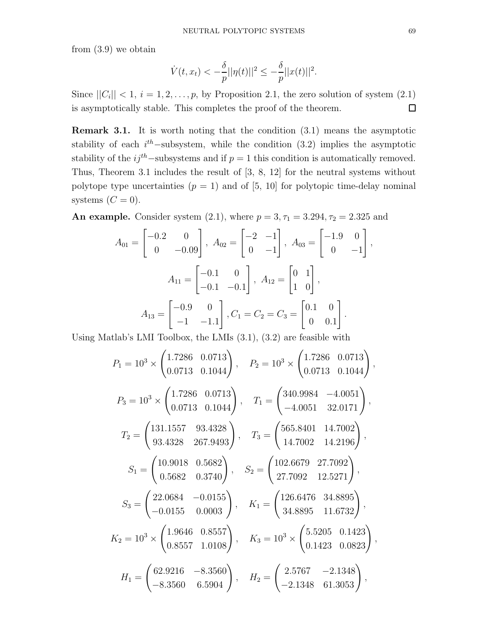from (3.9) we obtain

$$
\dot{V}(t, x_t) < -\frac{\delta}{p} ||\eta(t)||^2 \le -\frac{\delta}{p} ||x(t)||^2.
$$

Since  $||C_i|| < 1$ ,  $i = 1, 2, ..., p$ , by Proposition 2.1, the zero solution of system  $(2.1)$ is asymptotically stable. This completes the proof of the theorem.  $\Box$ 

Remark 3.1. It is worth noting that the condition (3.1) means the asymptotic stability of each  $i^{th}$ -subsystem, while the condition (3.2) implies the asymptotic stability of the  $ij<sup>th</sup>$ -subsystems and if  $p = 1$  this condition is automatically removed. Thus, Theorem 3.1 includes the result of [3, 8, 12] for the neutral systems without polytope type uncertainties  $(p = 1)$  and of [5, 10] for polytopic time-delay nominal systems  $(C = 0)$ .

**An example.** Consider system (2.1), where  $p = 3, \tau_1 = 3.294, \tau_2 = 2.325$  and

$$
A_{01} = \begin{bmatrix} -0.2 & 0 \\ 0 & -0.09 \end{bmatrix}, A_{02} = \begin{bmatrix} -2 & -1 \\ 0 & -1 \end{bmatrix}, A_{03} = \begin{bmatrix} -1.9 & 0 \\ 0 & -1 \end{bmatrix},
$$

$$
A_{11} = \begin{bmatrix} -0.1 & 0 \\ -0.1 & -0.1 \end{bmatrix}, A_{12} = \begin{bmatrix} 0 & 1 \\ 1 & 0 \end{bmatrix},
$$

$$
A_{13} = \begin{bmatrix} -0.9 & 0 \\ -1 & -1.1 \end{bmatrix}, C_1 = C_2 = C_3 = \begin{bmatrix} 0.1 & 0 \\ 0 & 0.1 \end{bmatrix}.
$$

Using Matlab's LMI Toolbox, the LMIs (3.1), (3.2) are feasible with

$$
P_1 = 10^3 \times \begin{pmatrix} 1.7286 & 0.0713 \\ 0.0713 & 0.1044 \end{pmatrix}, \quad P_2 = 10^3 \times \begin{pmatrix} 1.7286 & 0.0713 \\ 0.0713 & 0.1044 \end{pmatrix},
$$
  
\n
$$
P_3 = 10^3 \times \begin{pmatrix} 1.7286 & 0.0713 \\ 0.0713 & 0.1044 \end{pmatrix}, \quad T_1 = \begin{pmatrix} 340.9984 & -4.0051 \\ -4.0051 & 32.0171 \end{pmatrix},
$$
  
\n
$$
T_2 = \begin{pmatrix} 131.1557 & 93.4328 \\ 93.4328 & 267.9493 \end{pmatrix}, \quad T_3 = \begin{pmatrix} 565.8401 & 14.7002 \\ 14.7002 & 14.2196 \end{pmatrix},
$$
  
\n
$$
S_1 = \begin{pmatrix} 10.9018 & 0.5682 \\ 0.5682 & 0.3740 \end{pmatrix}, \quad S_2 = \begin{pmatrix} 102.6679 & 27.7092 \\ 27.7092 & 12.5271 \end{pmatrix},
$$
  
\n
$$
S_3 = \begin{pmatrix} 22.0684 & -0.0155 \\ -0.0155 & 0.0003 \end{pmatrix}, \quad K_1 = \begin{pmatrix} 126.6476 & 34.8895 \\ 34.8895 & 11.6732 \end{pmatrix},
$$
  
\n
$$
K_2 = 10^3 \times \begin{pmatrix} 1.9646 & 0.8557 \\ 0.8557 & 1.0108 \end{pmatrix}, \quad K_3 = 10^3 \times \begin{pmatrix} 5.5205 & 0.1423 \\ 0.1423 & 0.0823 \end{pmatrix},
$$
  
\n
$$
H_1 = \begin{pmatrix} 62.9216 & -8.3560 \\ -8.3560 & 6.5904 \end{pmatrix}, \quad
$$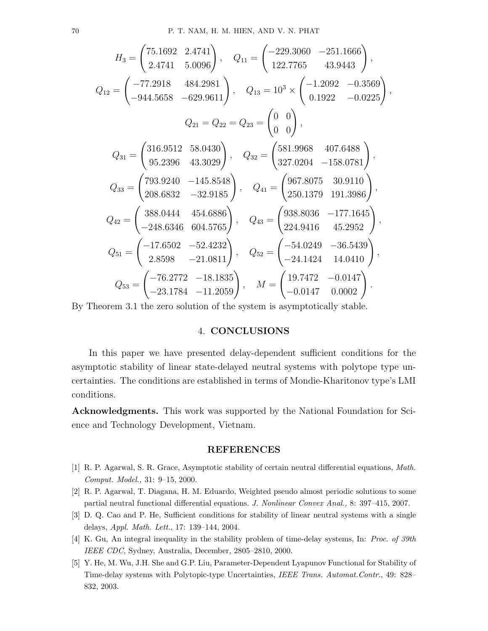$$
H_3 = \begin{pmatrix} 75.1692 & 2.4741 \\ 2.4741 & 5.0096 \end{pmatrix}, \quad Q_{11} = \begin{pmatrix} -229.3060 & -251.1666 \\ 122.7765 & 43.9443 \end{pmatrix},
$$
  
\n
$$
Q_{12} = \begin{pmatrix} -77.2918 & 484.2981 \\ -944.5658 & -629.9611 \end{pmatrix}, \quad Q_{13} = 10^3 \times \begin{pmatrix} -1.2092 & -0.3569 \\ 0.1922 & -0.0225 \end{pmatrix},
$$
  
\n
$$
Q_{21} = Q_{22} = Q_{23} = \begin{pmatrix} 0 & 0 \\ 0 & 0 \end{pmatrix},
$$
  
\n
$$
Q_{31} = \begin{pmatrix} 316.9512 & 58.0430 \\ 95.2396 & 43.3029 \end{pmatrix}, \quad Q_{32} = \begin{pmatrix} 581.9968 & 407.6488 \\ 327.0204 & -158.0781 \end{pmatrix},
$$
  
\n
$$
Q_{33} = \begin{pmatrix} 793.9240 & -145.8548 \\ 208.6832 & -32.9185 \end{pmatrix}, \quad Q_{41} = \begin{pmatrix} 967.8075 & 30.9110 \\ 250.1379 & 191.3986 \end{pmatrix},
$$
  
\n
$$
Q_{42} = \begin{pmatrix} 388.0444 & 454.6886 \\ -248.6346 & 604.5765 \end{pmatrix}, \quad Q_{43} = \begin{pmatrix} 938.8036 & -177.1645 \\ 224.9416 & 45.2952 \end{pmatrix},
$$
  
\n
$$
Q_{51} = \begin{pmatrix} -17.6502 & -52.4232 \\ 2.8598 & -21.0811 \end{pmatrix}, \quad Q_{52} = \begin{pmatrix} -54.0249 & -36.5439 \\
$$

By Theorem 3.1 the zero solution of the system is asymptotically stable.

## 4. CONCLUSIONS

In this paper we have presented delay-dependent sufficient conditions for the asymptotic stability of linear state-delayed neutral systems with polytope type uncertainties. The conditions are established in terms of Mondie-Kharitonov type's LMI conditions.

Acknowledgments. This work was supported by the National Foundation for Science and Technology Development, Vietnam.

#### REFERENCES

- [1] R. P. Agarwal, S. R. Grace, Asymptotic stability of certain neutral differential equations, Math. Comput. Model., 31: 9–15, 2000.
- [2] R. P. Agarwal, T. Diagana, H. M. Eduardo, Weighted pseudo almost periodic solutions to some partial neutral functional differential equations. J. Nonlinear Convex Anal., 8: 397–415, 2007.
- [3] D. Q. Cao and P. He, Sufficient conditions for stability of linear neutral systems with a single delays, Appl. Math. Lett., 17: 139–144, 2004.
- [4] K. Gu, An integral inequality in the stability problem of time-delay systems, In: Proc. of 39th IEEE CDC, Sydney, Australia, December, 2805–2810, 2000.
- [5] Y. He, M. Wu, J.H. She and G.P. Liu, Parameter-Dependent Lyapunov Functional for Stability of Time-delay systems with Polytopic-type Uncertainties, IEEE Trans. Automat.Contr., 49: 828– 832, 2003.